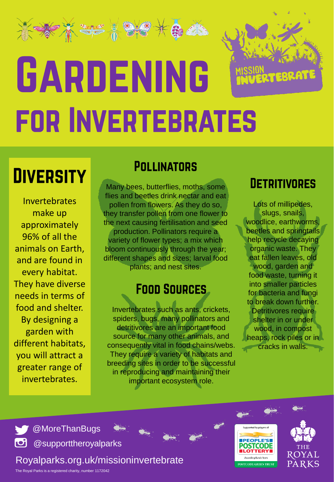# 240 9 GARDENING **FOR INVERTEBRATES**

### **DIVERSITY**

Invertebrates make up approximately 96% of all the animals on Earth, and are found in every habitat. They have diverse needs in terms of food and shelter. By designing a garden with different habitats, you will attract a greater range of invertebrates.

#### **POLLINATORS**

Many bees, butterflies, moths, some flies and beetles drink nectar and eat pollen from flowers. As they do so, they transfer pollen from one flower to the next causing fertilisation and seed production. Pollinators require a variety of flower types; a mix which bloom continuously through the year; different shapes and sizes; larval food plants; and nest sites.

#### **FOOD SOURCES**

Invertebrates such as ants, crickets, spiders, bugs, many pollinators and detritivores are an important food source for many other animals, and consequently vital in food chains/webs. They require a variety of habitats and breeding sites in order to be successful in reproducing and maintaining their important ecosystem role.

#### **DETRITIVORES**

Lots of millipedes, slugs, snails, woodlice, earthworms, beetles and springtails help recycle decaying organic waste. They eat fallen leaves, old wood, garden and food waste, turning it into smaller particles for bacteria and fungi to break down further. Detritivores require shelter in or under wood, in compost heaps, rock piles or in cracks in walls.

upported by players o

**PEOPLE'SI** 

.<br>Awarding funds from

**OSTCODE GREEN TRUST** 

ROYAL

PARKS



co @supporttheroyalparks

Royalparks.org.uk/missioninvertebrate

The Royal Parks is a registered charity, number 1172042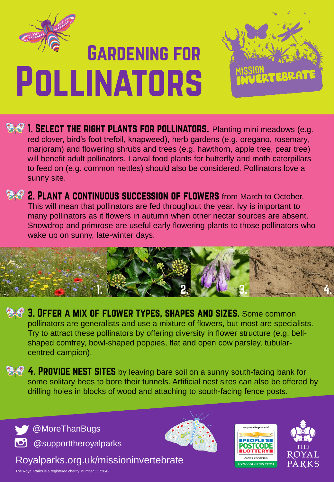

### **GARDENING FOR POLLINATORS**



**P 1. SELECT THE RIGHT PLANTS FOR POLLINATORS.** Planting mini meadows (e.g. red clover, bird's foot trefoil, knapweed), herb gardens (e.g. oregano, rosemary, marjoram) and flowering shrubs and trees (e.g. hawthorn, apple tree, pear tree) will benefit adult pollinators. Larval food plants for butterfly and moth caterpillars to feed on (e.g. common nettles) should also be considered. Pollinators love a sunny site.

**2. PLANT A CONTINUOUS SUCCESSION OF FLOWERS** from March to October. This will mean that pollinators are fed throughout the year. Ivy is important to many pollinators as it flowers in autumn when other nectar sources are absent. Snowdrop and primrose are useful early flowering plants to those pollinators who wake up on sunny, late-winter days.



 $\bullet$  3. OFFER A MIX OF FLOWER TYPES, SHAPES AND SIZES. Some common pollinators are generalists and use a mixture of flowers, but most are specialists. Try to attract these pollinators by offering diversity in flower structure (e.g. bellshaped comfrey, bowl-shaped poppies, flat and open cow parsley, tubularcentred campion).

4. PROVIDE NEST SITES by leaving bare soil on a sunny south-facing bank for some solitary bees to bore their tunnels. Artificial nest sites can also be offered by drilling holes in blocks of wood and attaching to south-facing fence posts.

**WOMORETHANBUGS** col @supporttheroyalparks

Royalparks.org.uk/missioninvertebrate







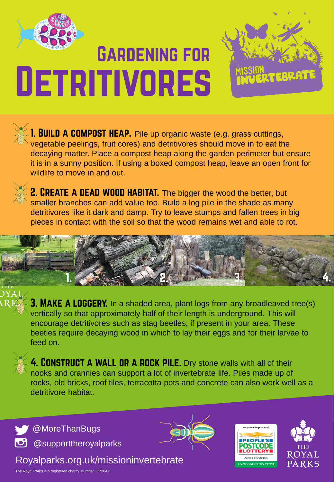

## **GARDENING FOR DETRITIVORES**



**1. BUILD A COMPOST HEAP.** Pile up organic waste (e.g. grass cuttings, vegetable peelings, fruit cores) and detritivores should move in to eat the decaying matter. Place a compost heap along the garden perimeter but ensure it is in a sunny position. If using a boxed compost heap, leave an open front for wildlife to move in and out.



2. CREATE A DEAD WOOD HABITAT. The bigger the wood the better, but smaller branches can add value too. Build a log pile in the shade as many detritivores like it dark and damp. Try to leave stumps and fallen trees in big pieces in contact with the soil so that the wood remains wet and able to rot.



**3. MAKE A LOGGERY.** In a shaded area, plant logs from any broadleaved tree(s) vertically so that approximately half of their length is underground. This will encourage detritivores such as stag beetles, if present in your area. These beetles require decaying wood in which to lay their eggs and for their larvae to feed on.



4. CONSTRUCT A WALL OR A ROCK PILE. Dry stone walls with all of their nooks and crannies can support a lot of invertebrate life. Piles made up of rocks, old bricks, roof tiles, terracotta pots and concrete can also work well as a detritivore habitat.

**W**OMoreThanBugs col @supporttheroyalparks

Royalparks.org.uk/missioninvertebrate









**PTERRAT**